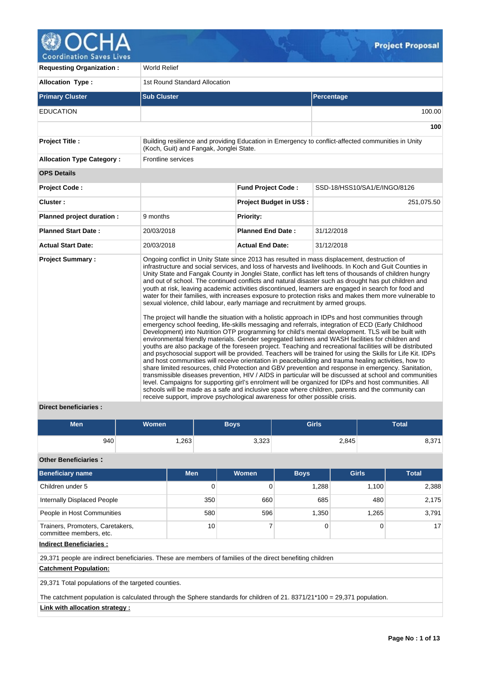

**Requesting Organization : World Relief** Allocation Type : 1st Round Standard Allocation **Primary Cluster Sub Cluster Sub Cluster** Sub Cluster Sub Cluster Sub Cluster Sub Cluster Sub Cluster Sub Cluster EDUCATION 100.00 **100 Project Title :** Building resilience and providing Education in Emergency to conflict-affected communities in Unity (Koch, Guit) and Fangak, Jonglei State. **Allocation Type Category :** Frontline services **OPS Details Project Code : Fund Project Code :** SSD-18/HSS10/SA1/E/INGO/8126 **Cluster : Project Budget in US\$ :** 251,075.50 **Planned project duration :** 9 months **Planned Priority: Planned Start Date :** 20/03/2018 **Planned End Date :** 31/12/2018 **Actual Start Date:** 20/03/2018 **Actual End Date:** 31/12/2018 **Project Summary :** Ongoing conflict in Unity State since 2013 has resulted in mass displacement, destruction of infrastructure and social services, and loss of harvests and livelihoods. In Koch and Guit Counties in Unity State and Fangak County in Jonglei State, conflict has left tens of thousands of children hungry and out of school. The continued conflicts and natural disaster such as drought has put children and youth at risk, leaving academic activities discontinued, learners are engaged in search for food and water for their families, with increases exposure to protection risks and makes them more vulnerable to sexual violence, child labour, early marriage and recruitment by armed groups. The project will handle the situation with a holistic approach in IDPs and host communities through emergency school feeding, life-skills messaging and referrals, integration of ECD (Early Childhood Development) into Nutrition OTP programming for child's mental development. TLS will be built with environmental friendly materials. Gender segregated latrines and WASH facilities for children and youths are also package of the foreseen project. Teaching and recreational facilities will be distributed and psychosocial support will be provided. Teachers will be trained for using the Skills for Life Kit. IDPs and host communities will receive orientation in peacebuilding and trauma healing activities, how to share limited resources, child Protection and GBV prevention and response in emergency. Sanitation, transmissible diseases prevention, HIV / AIDS in particular will be discussed at school and communities level. Campaigns for supporting girl's enrolment will be organized for IDPs and host communities. All schools will be made as a safe and inclusive space where children, parents and the community can receive support, improve psychological awareness for other possible crisis.

# **Direct beneficiaries :**

| <b>Men</b> | <b>Women</b> | <b>Boys</b> | <b>Girls</b> | Total |
|------------|--------------|-------------|--------------|-------|
| 940        | ,263         | 3,323       | 2,845        | 8,371 |

**Other Beneficiaries :**

| <b>Beneficiary name</b>                                                                                   | <b>Men</b> | Women | <b>Boys</b> | <b>Girls</b> | <b>Total</b> |  |  |  |
|-----------------------------------------------------------------------------------------------------------|------------|-------|-------------|--------------|--------------|--|--|--|
| Children under 5                                                                                          | 0          |       | 1,288       | 1,100        | 2,388        |  |  |  |
| <b>Internally Displaced People</b>                                                                        | 350        | 660   | 685         | 480          | 2,175        |  |  |  |
| People in Host Communities                                                                                | 580        | 596   | 1,350       | 1,265        | 3.791        |  |  |  |
| Trainers, Promoters, Caretakers,<br>committee members, etc.                                               | 10         |       | 0           | 0            | 17           |  |  |  |
| <b>Indirect Beneficiaries:</b>                                                                            |            |       |             |              |              |  |  |  |
| 29,371 people are indirect beneficiaries. These are members of families of the direct benefiting children |            |       |             |              |              |  |  |  |
| <b>Catchment Population:</b>                                                                              |            |       |             |              |              |  |  |  |

29,371 Total populations of the targeted counties.

The catchment population is calculated through the Sphere standards for children of 21. 8371/21\*100 = 29,371 population.

**Link with allocation strategy :**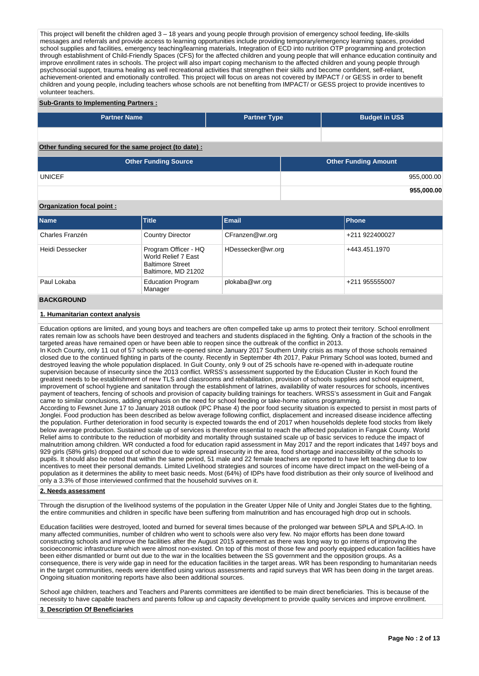This project will benefit the children aged 3 – 18 years and young people through provision of emergency school feeding, life-skills messages and referrals and provide access to learning opportunities include providing temporary/emergency learning spaces, provided school supplies and facilities, emergency teaching/learning materials, Integration of ECD into nutrition OTP programming and protection through establishment of Child-Friendly Spaces (CFS) for the affected children and young people that will enhance education continuity and improve enrollment rates in schools. The project will also impart coping mechanism to the affected children and young people through psychosocial support, trauma healing as well recreational activities that strengthen their skills and become confident, self-reliant, achievement-oriented and emotionally controlled. This project will focus on areas not covered by IMPACT / or GESS in order to benefit children and young people, including teachers whose schools are not benefiting from IMPACT/ or GESS project to provide incentives to volunteer teachers.

## **Sub-Grants to Implementing Partners :**

| <b>Partner Name</b>                                   | <b>Partner Type</b> | <b>Budget in US\$</b>       |            |
|-------------------------------------------------------|---------------------|-----------------------------|------------|
|                                                       |                     |                             |            |
| Other funding secured for the same project (to date): |                     |                             |            |
| <b>Other Funding Source</b>                           |                     | <b>Other Funding Amount</b> |            |
| <b>UNICEF</b>                                         |                     |                             | 955,000.00 |

## **Organization focal point :**

| <b>Name</b>       | Title                                                                                         | Email             | Phone          |
|-------------------|-----------------------------------------------------------------------------------------------|-------------------|----------------|
| Charles Franzén   | <b>Country Director</b>                                                                       | CFranzen@wr.org   | +211 922400027 |
| Heidi Dessecker   | Program Officer - HQ<br>World Relief 7 East<br><b>Baltimore Street</b><br>Baltimore, MD 21202 | HDessecker@wr.org | +443.451.1970  |
| Paul Lokaba       | <b>Education Program</b><br>Manager                                                           | plokaba@wr.org    | +211 955555007 |
| <b>BACKGROUND</b> |                                                                                               |                   |                |

#### **1. Humanitarian context analysis**

Education options are limited, and young boys and teachers are often compelled take up arms to protect their territory. School enrollment rates remain low as schools have been destroyed and teachers and students displaced in the fighting. Only a fraction of the schools in the targeted areas have remained open or have been able to reopen since the outbreak of the conflict in 2013. In Koch County, only 11 out of 57 schools were re-opened since January 2017 Southern Unity crisis as many of those schools remained closed due to the continued fighting in parts of the county. Recently in September 4th 2017, Pakur Primary School was looted, burned and destroyed leaving the whole population displaced. In Guit County, only 9 out of 25 schools have re-opened with in-adequate routine supervision because of insecurity since the 2013 conflict. WRSS's assessment supported by the Education Cluster in Koch found the greatest needs to be establishment of new TLS and classrooms and rehabilitation, provision of schools supplies and school equipment, improvement of school hygiene and sanitation through the establishment of latrines, availability of water resources for schools, incentives payment of teachers, fencing of schools and provision of capacity building trainings for teachers. WRSS's assessment in Guit and Fangak came to similar conclusions, adding emphasis on the need for school feeding or take-home rations programming. According to Fewsnet June 17 to January 2018 outlook (IPC Phase 4) the poor food security situation is expected to persist in most parts of Jonglei. Food production has been described as below average following conflict, displacement and increased disease incidence affecting the population. Further deterioration in food security is expected towards the end of 2017 when households deplete food stocks from likely below average production. Sustained scale up of services is therefore essential to reach the affected population in Fangak County. World Relief aims to contribute to the reduction of morbidity and mortality through sustained scale up of basic services to reduce the impact of malnutrition among children. WR conducted a food for education rapid assessment in May 2017 and the report indicates that 1497 boys and 929 girls (58% girls) dropped out of school due to wide spread insecurity in the area, food shortage and inaccessibility of the schools to pupils. It should also be noted that within the same period, 51 male and 22 female teachers are reported to have left teaching due to low

#### **2. Needs assessment**

only a 3.3% of those interviewed confirmed that the household survives on it.

Through the disruption of the livelihood systems of the population in the Greater Upper Nile of Unity and Jonglei States due to the fighting, the entire communities and children in specific have been suffering from malnutrition and has encouraged high drop out in schools.

incentives to meet their personal demands. Limited Livelihood strategies and sources of income have direct impact on the well-being of a population as it determines the ability to meet basic needs. Most (64%) of IDPs have food distribution as their only source of livelihood and

Education facilities were destroyed, looted and burned for several times because of the prolonged war between SPLA and SPLA-IO. In many affected communities, number of children who went to schools were also very few. No major efforts has been done toward constructing schools and improve the facilities after the August 2015 agreement as there was long way to go interns of improving the socioeconomic infrastructure which were almost non-existed. On top of this most of those few and poorly equipped education facilities have been either dismantled or burnt out due to the war in the localities between the SS government and the opposition groups. As a consequence, there is very wide gap in need for the education facilities in the target areas. WR has been responding to humanitarian needs in the target communities, needs were identified using various assessments and rapid surveys that WR has been doing in the target areas. Ongoing situation monitoring reports have also been additional sources.

School age children, teachers and Teachers and Parents committees are identified to be main direct beneficiaries. This is because of the necessity to have capable teachers and parents follow up and capacity development to provide quality services and improve enrollment.

## **3. Description Of Beneficiaries**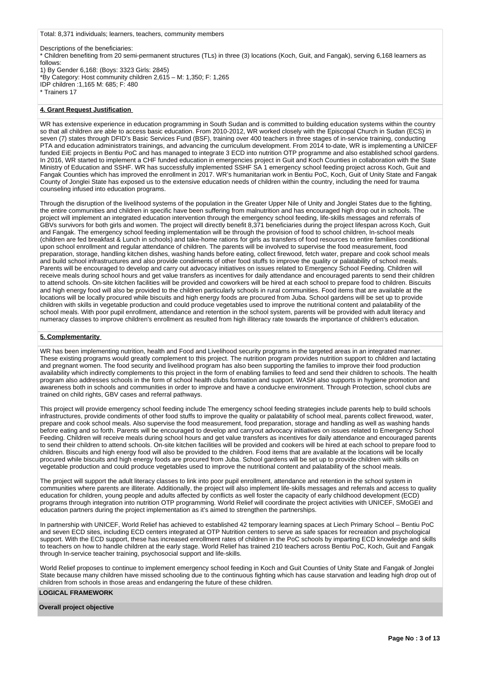#### Total: 8,371 individuals; learners, teachers, community members

Descriptions of the beneficiaries: \* Children benefiting from 20 semi-permanent structures (TLs) in three (3) locations (Koch, Guit, and Fangak), serving 6,168 learners as follows: 1) By Gender 6,168: (Boys: 3323 Girls: 2845) \*By Category: Host community children 2,615 – M: 1,350; F: 1,265 IDP children :1,165 M: 685; F: 480 \* Trainers 17

# **4. Grant Request Justification**

WR has extensive experience in education programming in South Sudan and is committed to building education systems within the country so that all children are able to access basic education. From 2010-2012, WR worked closely with the Episcopal Church in Sudan (ECS) in seven (7) states through DFID's Basic Services Fund (BSF), training over 400 teachers in three stages of in-service training, conducting PTA and education administrators trainings, and advancing the curriculum development. From 2014 to-date, WR is implementing a UNICEF funded EiE projects in Bentiu PoC and has managed to integrate 3 ECD into nutrition OTP programme and also established school gardens. In 2016, WR started to implement a CHF funded education in emergencies project in Guit and Koch Counties in collaboration with the State Ministry of Education and SSHF. WR has successfully implemented SSHF SA 1 emergency school feeding project across Koch, Guit and Fangak Counties which has improved the enrollment in 2017. WR's humanitarian work in Bentiu PoC, Koch, Guit of Unity State and Fangak County of Jonglei State has exposed us to the extensive education needs of children within the country, including the need for trauma counseling infused into education programs.

Through the disruption of the livelihood systems of the population in the Greater Upper Nile of Unity and Jonglei States due to the fighting, the entire communities and children in specific have been suffering from malnutrition and has encouraged high drop out in schools. The project will implement an integrated education intervention through the emergency school feeding, life-skills messages and referrals of GBVs survivors for both girls and women. The project will directly benefit 8,371 beneficiaries during the project lifespan across Koch, Guit and Fangak. The emergency school feeding implementation will be through the provision of food to school children, In-school meals (children are fed breakfast & Lunch in schools) and take-home rations for girls as transfers of food resources to entire families conditional upon school enrollment and regular attendance of children. The parents will be involved to supervise the food measurement, food preparation, storage, handling kitchen dishes, washing hands before eating, collect firewood, fetch water, prepare and cook school meals and build school infrastructures and also provide condiments of other food stuffs to improve the quality or palatability of school meals. Parents will be encouraged to develop and carry out advocacy initiatives on issues related to Emergency School Feeding. Children will receive meals during school hours and get value transfers as incentives for daily attendance and encouraged parents to send their children to attend schools. On-site kitchen facilities will be provided and coworkers will be hired at each school to prepare food to children. Biscuits and high energy food will also be provided to the children particularly schools in rural communities. Food items that are available at the locations will be locally procured while biscuits and high energy foods are procured from Juba. School gardens will be set up to provide children with skills in vegetable production and could produce vegetables used to improve the nutritional content and palatability of the school meals. With poor pupil enrollment, attendance and retention in the school system, parents will be provided with adult literacy and numeracy classes to improve children's enrollment as resulted from high illiteracy rate towards the importance of children's education.

#### **5. Complementarity**

WR has been implementing nutrition, health and Food and Livelihood security programs in the targeted areas in an integrated manner. These existing programs would greatly complement to this project. The nutrition program provides nutrition support to children and lactating and pregnant women. The food security and livelihood program has also been supporting the families to improve their food production availability which indirectly complements to this project in the form of enabling families to feed and send their children to schools. The health program also addresses schools in the form of school health clubs formation and support. WASH also supports in hygiene promotion and awareness both in schools and communities in order to improve and have a conducive environment. Through Protection, school clubs are trained on child rights, GBV cases and referral pathways.

This project will provide emergency school feeding include The emergency school feeding strategies include parents help to build schools infrastructures, provide condiments of other food stuffs to improve the quality or palatability of school meal, parents collect firewood, water, prepare and cook school meals. Also supervise the food measurement, food preparation, storage and handling as well as washing hands before eating and so forth. Parents will be encouraged to develop and carryout advocacy initiatives on issues related to Emergency School Feeding. Children will receive meals during school hours and get value transfers as incentives for daily attendance and encouraged parents to send their children to attend schools. On-site kitchen facilities will be provided and cookers will be hired at each school to prepare food to children. Biscuits and high energy food will also be provided to the children. Food items that are available at the locations will be locally procured while biscuits and high energy foods are procured from Juba. School gardens will be set up to provide children with skills on vegetable production and could produce vegetables used to improve the nutritional content and palatability of the school meals.

The project will support the adult literacy classes to link into poor pupil enrollment, attendance and retention in the school system in communities where parents are illiterate. Additionally, the project will also implement life-skills messages and referrals and access to quality education for children, young people and adults affected by conflicts as well foster the capacity of early childhood development (ECD) programs through integration into nutrition OTP programming. World Relief will coordinate the project activities with UNICEF, SMoGEI and education partners during the project implementation as it's aimed to strengthen the partnerships.

In partnership with UNICEF, World Relief has achieved to established 42 temporary learning spaces at Liech Primary School – Bentiu PoC and seven ECD sites, including ECD centers integrated at OTP Nutrition centers to serve as safe spaces for recreation and psychological support. With the ECD support, these has increased enrollment rates of children in the PoC schools by imparting ECD knowledge and skills to teachers on how to handle children at the early stage. World Relief has trained 210 teachers across Bentiu PoC, Koch, Guit and Fangak through In-service teacher training, psychosocial support and life-skills.

World Relief proposes to continue to implement emergency school feeding in Koch and Guit Counties of Unity State and Fangak of Jonglei State because many children have missed schooling due to the continuous fighting which has cause starvation and leading high drop out of children from schools in those areas and endangering the future of these children.

# **LOGICAL FRAMEWORK**

#### **Overall project objective**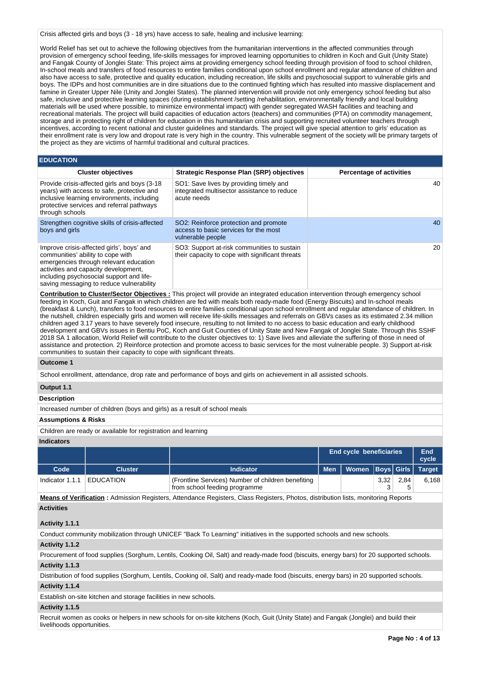Crisis affected girls and boys (3 - 18 yrs) have access to safe, healing and inclusive learning:

World Relief has set out to achieve the following objectives from the humanitarian interventions in the affected communities through provision of emergency school feeding, life-skills messages for improved learning opportunities to children in Koch and Guit (Unity State) and Fangak County of Jonglei State: This project aims at providing emergency school feeding through provision of food to school children, In-school meals and transfers of food resources to entire families conditional upon school enrollment and regular attendance of children and also have access to safe, protective and quality education, including recreation, life skills and psychosocial support to vulnerable girls and boys. The IDPs and host communities are in dire situations due to the continued fighting which has resulted into massive displacement and famine in Greater Upper Nile (Unity and Jonglei States). The planned intervention will provide not only emergency school feeding but also safe, inclusive and protective learning spaces (during establishment /setting /rehabilitation, environmentally friendly and local building materials will be used where possible, to minimize environmental impact) with gender segregated WASH facilities and teaching and recreational materials. The project will build capacities of education actors (teachers) and communities (PTA) on commodity management, storage and in protecting right of children for education in this humanitarian crisis and supporting recruited volunteer teachers through incentives, according to recent national and cluster guidelines and standards. The project will give special attention to girls' education as their enrollment rate is very low and dropout rate is very high in the country. This vulnerable segment of the society will be primary targets of the project as they are victims of harmful traditional and cultural practices.

## **EDUCATION**

| <b>Cluster objectives</b>                                                                                                                                                                                                                                | <b>Strategic Response Plan (SRP) objectives</b>                                                       | <b>Percentage of activities</b> |
|----------------------------------------------------------------------------------------------------------------------------------------------------------------------------------------------------------------------------------------------------------|-------------------------------------------------------------------------------------------------------|---------------------------------|
| Provide crisis-affected girls and boys (3-18)<br>years) with access to safe, protective and<br>inclusive learning environments, including<br>protective services and referral pathways<br>through schools                                                | SO1: Save lives by providing timely and<br>integrated multisector assistance to reduce<br>acute needs | 40                              |
| Strengthen cognitive skills of crisis-affected<br>boys and girls                                                                                                                                                                                         | SO2: Reinforce protection and promote<br>access to basic services for the most<br>vulnerable people   | 40                              |
| Improve crisis-affected girls', boys' and<br>communities' ability to cope with<br>emergencies through relevant education<br>activities and capacity development,<br>including psychosocial support and life-<br>saving messaging to reduce vulnerability | SO3: Support at-risk communities to sustain<br>their capacity to cope with significant threats        | 20                              |

**Contribution to Cluster/Sector Objectives :** This project will provide an integrated education intervention through emergency school feeding in Koch, Guit and Fangak in which children are fed with meals both ready-made food (Energy Biscuits) and In-school meals (breakfast & Lunch), transfers to food resources to entire families conditional upon school enrollment and regular attendance of children. In the nutshell, children especially girls and women will receive life-skills messages and referrals on GBVs cases as its estimated 2.34 million children aged 3.17 years to have severely food insecure, resulting to not limited to no access to basic education and early childhood development and GBVs issues in Bentiu PoC, Koch and Guit Counties of Unity State and New Fangak of Jonglei State. Through this SSHF 2018 SA 1 allocation, World Relief will contribute to the cluster objectives to: 1) Save lives and alleviate the suffering of those in need of assistance and protection. 2) Reinforce protection and promote access to basic services for the most vulnerable people. 3) Support at-risk communities to sustain their capacity to cope with significant threats.

#### **Outcome 1**

School enrollment, attendance, drop rate and performance of boys and girls on achievement in all assisted schools.

# **Output 1.1**

# **Description**

Increased number of children (boys and girls) as a result of school meals

#### **Assumptions & Risks**

Children are ready or available for registration and learning

# **Indicators**

|                 |                  |                                                                                     | <b>End cycle beneficiaries</b> |                                     | End<br>cycle |      |       |
|-----------------|------------------|-------------------------------------------------------------------------------------|--------------------------------|-------------------------------------|--------------|------|-------|
| Code            | <b>Cluster</b>   | <b>Indicator</b>                                                                    |                                | Men   Women   Boys   Girls   Target |              |      |       |
| Indicator 1.1.1 | <b>EDUCATION</b> | (Frontline Services) Number of children benefiting<br>from school feeding programme |                                |                                     | 3,32         | 2.84 | 6,168 |

**Means of Verification :** Admission Registers, Attendance Registers, Class Registers, Photos, distribution lists, monitoring Reports

# **Activities**

#### **Activity 1.1.1**

Conduct community mobilization through UNICEF "Back To Learning" initiatives in the supported schools and new schools.

#### **Activity 1.1.2**

Procurement of food supplies (Sorghum, Lentils, Cooking Oil, Salt) and ready-made food (biscuits, energy bars) for 20 supported schools. **Activity 1.1.3** 

Distribution of food supplies (Sorghum, Lentils, Cooking oil, Salt) and ready-made food (biscuits, energy bars) in 20 supported schools.

#### **Activity 1.1.4**

Establish on-site kitchen and storage facilities in new schools.

#### **Activity 1.1.5**

Recruit women as cooks or helpers in new schools for on-site kitchens (Koch, Guit (Unity State) and Fangak (Jonglei) and build their livelihoods opportunities.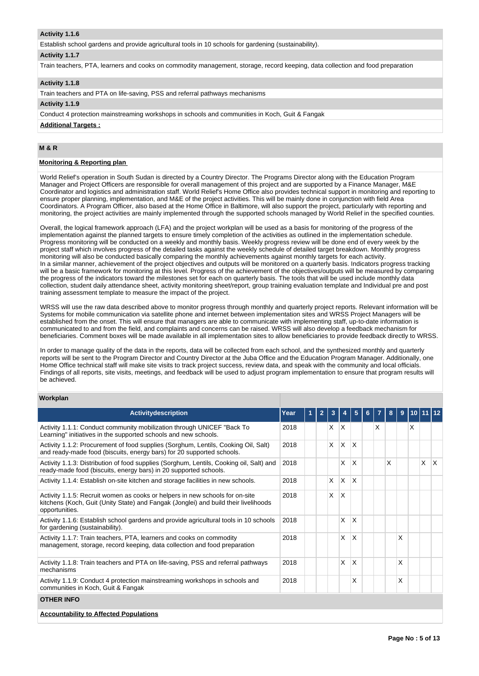# **Activity 1.1.6**

Establish school gardens and provide agricultural tools in 10 schools for gardening (sustainability).

#### **Activity 1.1.7**

Train teachers, PTA, learners and cooks on commodity management, storage, record keeping, data collection and food preparation

# **Activity 1.1.8**

Train teachers and PTA on life-saving, PSS and referral pathways mechanisms

# **Activity 1.1.9**

Conduct 4 protection mainstreaming workshops in schools and communities in Koch, Guit & Fangak

**Additional Targets :**

# **M & R**

# **Monitoring & Reporting plan**

World Relief's operation in South Sudan is directed by a Country Director. The Programs Director along with the Education Program Manager and Project Officers are responsible for overall management of this project and are supported by a Finance Manager, M&E Coordinator and logistics and administration staff. World Relief's Home Office also provides technical support in monitoring and reporting to ensure proper planning, implementation, and M&E of the project activities. This will be mainly done in conjunction with field Area Coordinators. A Program Officer, also based at the Home Office in Baltimore, will also support the project, particularly with reporting and monitoring, the project activities are mainly implemented through the supported schools managed by World Relief in the specified counties.

Overall, the logical framework approach (LFA) and the project workplan will be used as a basis for monitoring of the progress of the implementation against the planned targets to ensure timely completion of the activities as outlined in the implementation schedule. Progress monitoring will be conducted on a weekly and monthly basis. Weekly progress review will be done end of every week by the project staff which involves progress of the detailed tasks against the weekly schedule of detailed target breakdown. Monthly progress monitoring will also be conducted basically comparing the monthly achievements against monthly targets for each activity. In a similar manner, achievement of the project objectives and outputs will be monitored on a quarterly basis. Indicators progress tracking will be a basic framework for monitoring at this level. Progress of the achievement of the objectives/outputs will be measured by comparing the progress of the indicators toward the milestones set for each on quarterly basis. The tools that will be used include monthly data collection, student daily attendance sheet, activity monitoring sheet/report, group training evaluation template and Individual pre and post training assessment template to measure the impact of the project.

WRSS will use the raw data described above to monitor progress through monthly and quarterly project reports. Relevant information will be Systems for mobile communication via satellite phone and internet between implementation sites and WRSS Project Managers will be established from the onset. This will ensure that managers are able to communicate with implementing staff, up-to-date information is communicated to and from the field, and complaints and concerns can be raised. WRSS will also develop a feedback mechanism for beneficiaries. Comment boxes will be made available in all implementation sites to allow beneficiaries to provide feedback directly to WRSS.

In order to manage quality of the data in the reports, data will be collected from each school, and the synthesized monthly and quarterly reports will be sent to the Program Director and Country Director at the Juba Office and the Education Program Manager. Additionally, one Home Office technical staff will make site visits to track project success, review data, and speak with the community and local officials. Findings of all reports, site visits, meetings, and feedback will be used to adjust program implementation to ensure that program results will be achieved.

# **Workplan**

| <b>Activitydescription</b>                                                                                                                                                            | Year | 1 | $\mathbf{2}$ | 3            |              | 5        | 6 |   | 8 | 9 | 10 I | 11112 |     |
|---------------------------------------------------------------------------------------------------------------------------------------------------------------------------------------|------|---|--------------|--------------|--------------|----------|---|---|---|---|------|-------|-----|
| Activity 1.1.1: Conduct community mobilization through UNICEF "Back To<br>Learning" initiatives in the supported schools and new schools.                                             | 2018 |   |              | $\times$     | ΙX           |          |   | X |   |   | X    |       |     |
| Activity 1.1.2: Procurement of food supplies (Sorghum, Lentils, Cooking Oil, Salt)<br>and ready-made food (biscuits, energy bars) for 20 supported schools.                           | 2018 |   |              | $\mathsf{x}$ | <sup>X</sup> | $\times$ |   |   |   |   |      |       |     |
| Activity 1.1.3: Distribution of food supplies (Sorghum, Lentils, Cooking oil, Salt) and<br>ready-made food (biscuits, energy bars) in 20 supported schools.                           | 2018 |   |              |              | X            | $\times$ |   |   | X |   |      | X     | ΙX. |
| Activity 1.1.4: Establish on-site kitchen and storage facilities in new schools.                                                                                                      | 2018 |   |              | X            | <sup>X</sup> | $\times$ |   |   |   |   |      |       |     |
| Activity 1.1.5: Recruit women as cooks or helpers in new schools for on-site<br>kitchens (Koch, Guit (Unity State) and Fangak (Jonglei) and build their livelihoods<br>opportunities. | 2018 |   |              | X            | <sup>X</sup> |          |   |   |   |   |      |       |     |
| Activity 1.1.6: Establish school gardens and provide agricultural tools in 10 schools<br>for gardening (sustainability).                                                              | 2018 |   |              |              | X            | X        |   |   |   |   |      |       |     |
| Activity 1.1.7: Train teachers, PTA, learners and cooks on commodity<br>management, storage, record keeping, data collection and food preparation                                     | 2018 |   |              |              | X            | $\times$ |   |   |   | X |      |       |     |
| Activity 1.1.8: Train teachers and PTA on life-saving, PSS and referral pathways<br>mechanisms                                                                                        | 2018 |   |              |              | X            | X        |   |   |   | X |      |       |     |
| Activity 1.1.9: Conduct 4 protection mainstreaming workshops in schools and<br>communities in Koch, Guit & Fangak                                                                     | 2018 |   |              |              |              | X        |   |   |   | X |      |       |     |
| <b>OTHER INFO</b>                                                                                                                                                                     |      |   |              |              |              |          |   |   |   |   |      |       |     |
| <b>Accountability to Affected Populations</b>                                                                                                                                         |      |   |              |              |              |          |   |   |   |   |      |       |     |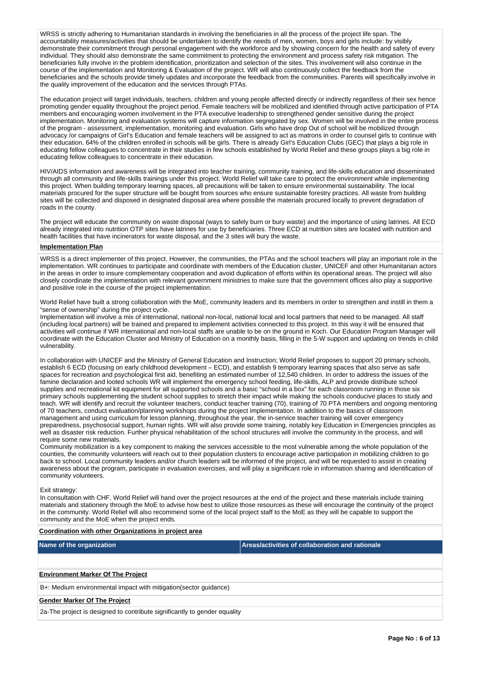WRSS is strictly adhering to Humanitarian standards in involving the beneficiaries in all the process of the project life span. The accountability measures/activities that should be undertaken to identify the needs of men, women, boys and girls include: by visibly demonstrate their commitment through personal engagement with the workforce and by showing concern for the health and safety of every individual. They should also demonstrate the same commitment to protecting the environment and process safety risk mitigation. The beneficiaries fully involve in the problem identification, prioritization and selection of the sites. This involvement will also continue in the course of the implementation and Monitoring & Evaluation of the project. WR will also continuously collect the feedback from the beneficiaries and the schools provide timely updates and incorporate the feedback from the communities. Parents will specifically involve in the quality improvement of the education and the services through PTAs.

The education project will target individuals, teachers, children and young people affected directly or indirectly regardless of their sex hence promoting gender equality throughout the project period. Female teachers will be mobilized and identified through active participation of PTA members and encouraging women involvement in the PTA executive leadership to strengthened gender sensitive during the project implementation. Monitoring and evaluation systems will capture information segregated by sex. Women will be involved in the entire process of the program - assessment, implementation, monitoring and evaluation. Girls who have drop Out of school will be mobilized through advocacy /or campaigns of Girl's Education and female teachers will be assigned to act as matrons in order to counsel girls to continue with their education. 64% of the children enrolled in schools will be girls. There is already Girl's Education Clubs (GEC) that plays a big role in educating fellow colleagues to concentrate in their studies in few schools established by World Relief and these groups plays a big role in educating fellow colleagues to concentrate in their education.

HIV/AIDS information and awareness will be integrated into teacher training, community training, and life-skills education and disseminated through all community and life-skills trainings under this project. World Relief will take care to protect the environment while implementing this project. When building temporary learning spaces, all precautions will be taken to ensure environmental sustainability. The local materials procured for the super structure will be bought from sources who ensure sustainable forestry practices. All waste from building sites will be collected and disposed in designated disposal area where possible the materials procured locally to prevent degradation of roads in the county.

The project will educate the community on waste disposal (ways to safely burn or bury waste) and the importance of using latrines. All ECD already integrated into nutrition OTP sites have latrines for use by beneficiaries. Three ECD at nutrition sites are located with nutrition and health facilities that have incinerators for waste disposal, and the 3 sites will bury the waste.

#### **Implementation Plan**

WRSS is a direct implementer of this project. However, the communities, the PTAs and the school teachers will play an important role in the implementation. WR continues to participate and coordinate with members of the Education cluster, UNICEF and other Humanitarian actors in the areas in order to insure complementary cooperation and avoid duplication of efforts within its operational areas. The project will also closely coordinate the implementation with relevant government ministries to make sure that the government offices also play a supportive and positive role in the course of the project implementation.

World Relief have built a strong collaboration with the MoE, community leaders and its members in order to strengthen and instill in them a "sense of ownership" during the project cycle.

Implementation will involve a mix of international, national non-local, national local and local partners that need to be managed. All staff (including local partners) will be trained and prepared to implement activities connected to this project. In this way it will be ensured that activities will continue if WR international and non-local staffs are unable to be on the ground in Koch. Our Education Program Manager will coordinate with the Education Cluster and Ministry of Education on a monthly basis, filling in the 5-W support and updating on trends in child vulnerability.

In collaboration with UNICEF and the Ministry of General Education and Instruction; World Relief proposes to support 20 primary schools, establish 6 ECD (focusing on early childhood development – ECD), and establish 9 temporary learning spaces that also serve as safe spaces for recreation and psychological first aid, benefiting an estimated number of 12,540 children. In order to address the issues of the famine declaration and looted schools WR will implement the emergency school feeding, life-skills, ALP and provide distribute school supplies and recreational kit equipment for all supported schools and a basic "school in a box" for each classroom running in those six primary schools supplementing the student school supplies to stretch their impact while making the schools conducive places to study and teach. WR will identify and recruit the volunteer teachers, conduct teacher training (70), training of 70 PTA members and ongoing mentoring of 70 teachers, conduct evaluation/planning workshops during the project implementation. In addition to the basics of classroom management and using curriculum for lesson planning, throughout the year, the in-service teacher training will cover emergency preparedness, psychosocial support, human rights. WR will also provide some training, notably key Education in Emergencies principles as well as disaster risk reduction. Further physical rehabilitation of the school structures will involve the community in the process, and will require some new materials.

Community mobilization is a key component to making the services accessible to the most vulnerable among the whole population of the counties, the community volunteers will reach out to their population clusters to encourage active participation in mobilizing children to go back to school. Local community leaders and/or church leaders will be informed of the project, and will be requested to assist in creating awareness about the program, participate in evaluation exercises, and will play a significant role in information sharing and identification of community volunteers.

#### Exit strategy:

In consultation with CHF, World Relief will hand over the project resources at the end of the project and these materials include training materials and stationery through the MoE to advise how best to utilize those resources as these will encourage the continuity of the project in the community. World Relief will also recommend some of the local project staff to the MoE as they will be capable to support the community and the MoE when the project ends.

# **Coordination with other Organizations in project area Name of the organization Areas/activities of collaboration and rationale Environment Marker Of The Project** B+: Medium environmental impact with mitigation(sector guidance) **Gender Marker Of The Project**

2a-The project is designed to contribute significantly to gender equality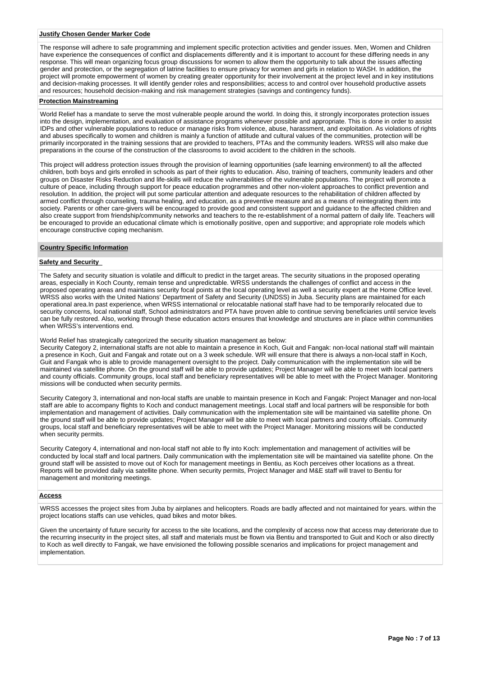## **Justify Chosen Gender Marker Code**

The response will adhere to safe programming and implement specific protection activities and gender issues. Men, Women and Children have experience the consequences of conflict and displacements differently and it is important to account for these differing needs in any response. This will mean organizing focus group discussions for women to allow them the opportunity to talk about the issues affecting gender and protection, or the segregation of latrine facilities to ensure privacy for women and girls in relation to WASH. In addition, the project will promote empowerment of women by creating greater opportunity for their involvement at the project level and in key institutions and decision-making processes. It will identify gender roles and responsibilities; access to and control over household productive assets and resources; household decision-making and risk management strategies (savings and contingency funds).

# **Protection Mainstreaming**

World Relief has a mandate to serve the most vulnerable people around the world. In doing this, it strongly incorporates protection issues into the design, implementation, and evaluation of assistance programs whenever possible and appropriate. This is done in order to assist IDPs and other vulnerable populations to reduce or manage risks from violence, abuse, harassment, and exploitation. As violations of rights and abuses specifically to women and children is mainly a function of attitude and cultural values of the communities, protection will be primarily incorporated in the training sessions that are provided to teachers, PTAs and the community leaders. WRSS will also make due preparations in the course of the construction of the classrooms to avoid accident to the children in the schools.

This project will address protection issues through the provision of learning opportunities (safe learning environment) to all the affected children, both boys and girls enrolled in schools as part of their rights to education. Also, training of teachers, community leaders and other groups on Disaster Risks Reduction and life-skills will reduce the vulnerabilities of the vulnerable populations. The project will promote a culture of peace, including through support for peace education programmes and other non-violent approaches to conflict prevention and resolution. In addition, the project will put some particular attention and adequate resources to the rehabilitation of children affected by armed conflict through counseling, trauma healing, and education, as a preventive measure and as a means of reintegrating them into society. Parents or other care-givers will be encouraged to provide good and consistent support and guidance to the affected children and also create support from friendship/community networks and teachers to the re-establishment of a normal pattern of daily life. Teachers will be encouraged to provide an educational climate which is emotionally positive, open and supportive; and appropriate role models which encourage constructive coping mechanism.

#### **Country Specific Information**

# **Safety and Security**

The Safety and security situation is volatile and difficult to predict in the target areas. The security situations in the proposed operating areas, especially in Koch County, remain tense and unpredictable. WRSS understands the challenges of conflict and access in the proposed operating areas and maintains security focal points at the local operating level as well a security expert at the Home Office level. WRSS also works with the United Nations' Department of Safety and Security (UNDSS) in Juba. Security plans are maintained for each operational area.In past experience, when WRSS international or relocatable national staff have had to be temporarily relocated due to security concerns, local national staff, School administrators and PTA have proven able to continue serving beneficiaries until service levels can be fully restored. Also, working through these education actors ensures that knowledge and structures are in place within communities when WRSS's interventions end.

World Relief has strategically categorized the security situation management as below:

Security Category 2, international staffs are not able to maintain a presence in Koch, Guit and Fangak: non-local national staff will maintain a presence in Koch, Guit and Fangak and rotate out on a 3 week schedule. WR will ensure that there is always a non-local staff in Koch, Guit and Fangak who is able to provide management oversight to the project. Daily communication with the implementation site will be maintained via satellite phone. On the ground staff will be able to provide updates; Project Manager will be able to meet with local partners and county officials. Community groups, local staff and beneficiary representatives will be able to meet with the Project Manager. Monitoring missions will be conducted when security permits.

Security Category 3, international and non-local staffs are unable to maintain presence in Koch and Fangak: Project Manager and non-local staff are able to accompany flights to Koch and conduct management meetings. Local staff and local partners will be responsible for both implementation and management of activities. Daily communication with the implementation site will be maintained via satellite phone. On the ground staff will be able to provide updates; Project Manager will be able to meet with local partners and county officials. Community groups, local staff and beneficiary representatives will be able to meet with the Project Manager. Monitoring missions will be conducted when security permits.

Security Category 4, international and non-local staff not able to fly into Koch: implementation and management of activities will be conducted by local staff and local partners. Daily communication with the implementation site will be maintained via satellite phone. On the ground staff will be assisted to move out of Koch for management meetings in Bentiu, as Koch perceives other locations as a threat. Reports will be provided daily via satellite phone. When security permits, Project Manager and M&E staff will travel to Bentiu for management and monitoring meetings.

#### **Access**

WRSS accesses the project sites from Juba by airplanes and helicopters. Roads are badly affected and not maintained for years. within the project locations staffs can use vehicles, quad bikes and motor bikes.

Given the uncertainty of future security for access to the site locations, and the complexity of access now that access may deteriorate due to the recurring insecurity in the project sites, all staff and materials must be flown via Bentiu and transported to Guit and Koch or also directly to Koch as well directly to Fangak, we have envisioned the following possible scenarios and implications for project management and implementation.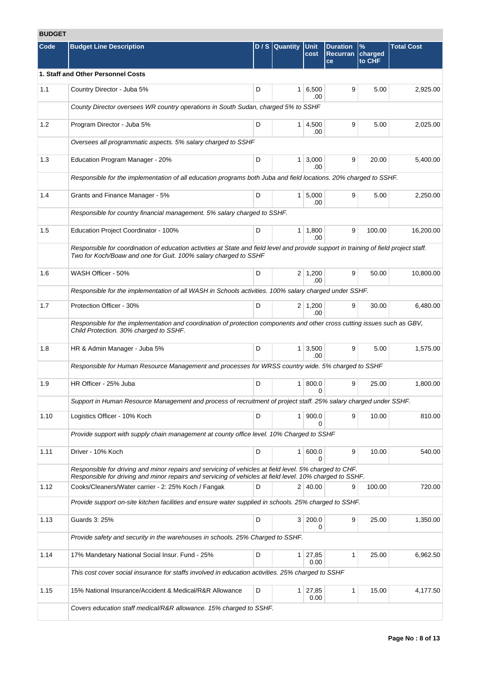# **BUDGET**

| Code | <b>Budget Line Description</b>                                                                                                                                                                                     |   | $D / S$ Quantity | Unit<br>cost           | <b>Duration</b><br><b>Recurran</b><br>ce | $\%$<br>charged<br>to CHF | <b>Total Cost</b> |
|------|--------------------------------------------------------------------------------------------------------------------------------------------------------------------------------------------------------------------|---|------------------|------------------------|------------------------------------------|---------------------------|-------------------|
|      | 1. Staff and Other Personnel Costs                                                                                                                                                                                 |   |                  |                        |                                          |                           |                   |
| 1.1  | Country Director - Juba 5%                                                                                                                                                                                         | D |                  | $1 \, 6,500$<br>.00    | 9                                        | 5.00                      | 2,925.00          |
|      | County Director oversees WR country operations in South Sudan, charged 5% to SSHF                                                                                                                                  |   |                  |                        |                                          |                           |                   |
| 1.2  | Program Director - Juba 5%                                                                                                                                                                                         | D |                  | $1 \, 4,500$<br>.00    | 9                                        | 5.00                      | 2,025.00          |
|      | Oversees all programmatic aspects. 5% salary charged to SSHF                                                                                                                                                       |   |                  |                        |                                          |                           |                   |
| 1.3  | Education Program Manager - 20%                                                                                                                                                                                    | D |                  | $1 \mid 3,000$<br>.00  | 9                                        | 20.00                     | 5,400.00          |
|      | Responsible for the implementation of all education programs both Juba and field locations. 20% charged to SSHF.                                                                                                   |   |                  |                        |                                          |                           |                   |
| 1.4  | Grants and Finance Manager - 5%                                                                                                                                                                                    | D |                  | $1 \, 5,000$<br>.00    | 9                                        | 5.00                      | 2,250.00          |
|      | Responsible for country financial management. 5% salary charged to SSHF.                                                                                                                                           |   |                  |                        |                                          |                           |                   |
| 1.5  | Education Project Coordinator - 100%                                                                                                                                                                               | D |                  | $1 \mid 1,800$<br>.00  | 9                                        | 100.00                    | 16,200.00         |
|      | Responsible for coordination of education activities at State and field level and provide support in training of field project staff.<br>Two for Koch/Boaw and one for Guit. 100% salary charged to SSHF           |   |                  |                        |                                          |                           |                   |
| 1.6  | WASH Officer - 50%                                                                                                                                                                                                 | D |                  | $2 \mid 1,200$<br>.00  | 9                                        | 50.00                     | 10,800.00         |
|      | Responsible for the implementation of all WASH in Schools activities. 100% salary charged under SSHF.                                                                                                              |   |                  |                        |                                          |                           |                   |
| 1.7  | Protection Officer - 30%                                                                                                                                                                                           | D |                  | $2 \mid 1,200$<br>.00  | 9                                        | 30.00                     | 6,480.00          |
|      | Responsible for the implementation and coordination of protection components and other cross cutting issues such as GBV,<br>Child Protection. 30% charged to SSHF.                                                 |   |                  |                        |                                          |                           |                   |
| 1.8  | HR & Admin Manager - Juba 5%                                                                                                                                                                                       | D |                  | $1 \mid 3,500$<br>.00  | 9                                        | 5.00                      | 1,575.00          |
|      | Responsible for Human Resource Management and processes for WRSS country wide. 5% charged to SSHF                                                                                                                  |   |                  |                        |                                          |                           |                   |
| 1.9  | HR Officer - 25% Juba                                                                                                                                                                                              | D | 1 <sup>1</sup>   | 800.0<br>0             | 9                                        | 25.00                     | 1,800.00          |
|      | Support in Human Resource Management and process of recruitment of project staff. 25% salary charged under SSHF.                                                                                                   |   |                  |                        |                                          |                           |                   |
| 1.10 | Logistics Officer - 10% Koch                                                                                                                                                                                       | D |                  | 1   900.0<br>0         | 9                                        | 10.00                     | 810.00            |
|      | Provide support with supply chain management at county office level. 10% Charged to SSHF                                                                                                                           |   |                  |                        |                                          |                           |                   |
| 1.11 | Driver - 10% Koch                                                                                                                                                                                                  | D |                  | 1 600.0<br>0           | 9                                        | 10.00                     | 540.00            |
|      | Responsible for driving and minor repairs and servicing of vehicles at field level. 5% charged to CHF.<br>Responsible for driving and minor repairs and servicing of vehicles at field level. 10% charged to SSHF. |   |                  |                        |                                          |                           |                   |
| 1.12 | Cooks/Cleaners/Water carrier - 2: 25% Koch / Fangak                                                                                                                                                                | D |                  | 2 40.00                | 9                                        | 100.00                    | 720.00            |
|      | Provide support on-site kitchen facilities and ensure water supplied in schools. 25% charged to SSHF.                                                                                                              |   |                  |                        |                                          |                           |                   |
| 1.13 | Guards 3: 25%                                                                                                                                                                                                      | D |                  | 3 200.0<br>0           | 9                                        | 25.00                     | 1,350.00          |
|      | Provide safety and security in the warehouses in schools. 25% Charged to SSHF.                                                                                                                                     |   |                  |                        |                                          |                           |                   |
| 1.14 | 17% Mandetary National Social Insur. Fund - 25%                                                                                                                                                                    | D |                  | $1 \mid 27,85$<br>0.00 | 1                                        | 25.00                     | 6,962.50          |
|      | This cost cover social insurance for staffs involved in education activities. 25% charged to SSHF                                                                                                                  |   |                  |                        |                                          |                           |                   |
| 1.15 | 15% National Insurance/Accident & Medical/R&R Allowance                                                                                                                                                            | D |                  | $1 \mid 27,85$<br>0.00 | $\mathbf{1}$                             | 15.00                     | 4,177.50          |
|      | Covers education staff medical/R&R allowance. 15% charged to SSHF.                                                                                                                                                 |   |                  |                        |                                          |                           |                   |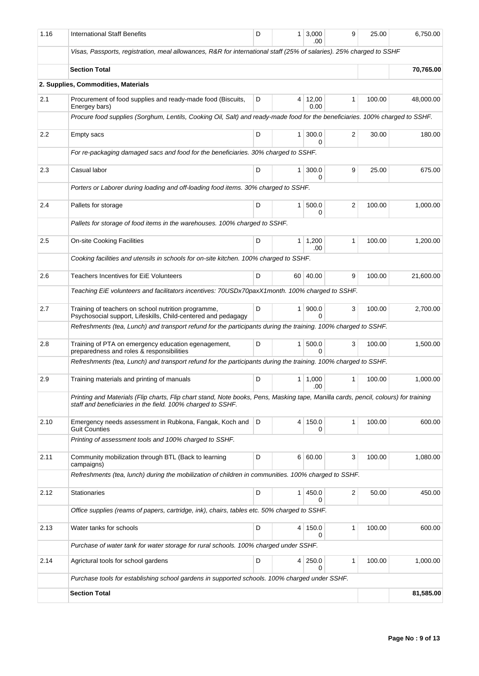| 1.16 | <b>International Staff Benefits</b>                                                                                                                                                                | D | 1              | 3,000<br>.00          | 9            | 25.00  | 6,750.00  |
|------|----------------------------------------------------------------------------------------------------------------------------------------------------------------------------------------------------|---|----------------|-----------------------|--------------|--------|-----------|
|      | Visas, Passports, registration, meal allowances, R&R for international staff (25% of salaries). 25% charged to SSHF                                                                                |   |                |                       |              |        |           |
|      | <b>Section Total</b>                                                                                                                                                                               |   |                |                       |              |        | 70,765.00 |
|      | 2. Supplies, Commodities, Materials                                                                                                                                                                |   |                |                       |              |        |           |
| 2.1  | Procurement of food supplies and ready-made food (Biscuits,<br>Energey bars)                                                                                                                       | D |                | 4 12,00<br>0.00       | 1            | 100.00 | 48,000.00 |
|      | Procure food supplies (Sorghum, Lentils, Cooking Oil, Salt) and ready-made food for the beneficiaries. 100% charged to SSHF.                                                                       |   |                |                       |              |        |           |
| 2.2  | Empty sacs                                                                                                                                                                                         | D | 1              | 300.0<br>0            | 2            | 30.00  | 180.00    |
|      | For re-packaging damaged sacs and food for the beneficiaries. 30% charged to SSHF.                                                                                                                 |   |                |                       |              |        |           |
| 2.3  | Casual labor                                                                                                                                                                                       | D | 1              | 300.0<br>0            | 9            | 25.00  | 675.00    |
|      | Porters or Laborer during loading and off-loading food items. 30% charged to SSHF.                                                                                                                 |   |                |                       |              |        |           |
| 2.4  | Pallets for storage                                                                                                                                                                                | D | 1 <sup>1</sup> | 500.0<br>0            | 2            | 100.00 | 1,000.00  |
|      | Pallets for storage of food items in the warehouses. 100% charged to SSHF.                                                                                                                         |   |                |                       |              |        |           |
| 2.5  | <b>On-site Cooking Facilities</b>                                                                                                                                                                  | D | 1 <sup>1</sup> | 1,200<br>.00          | 1            | 100.00 | 1,200.00  |
|      | Cooking facilities and utensils in schools for on-site kitchen. 100% charged to SSHF.                                                                                                              |   |                |                       |              |        |           |
| 2.6  | <b>Teachers Incentives for EiE Volunteers</b>                                                                                                                                                      | D |                | 60 40.00              | 9            | 100.00 | 21,600.00 |
|      | Teaching EiE volunteers and facilitators incentives: 70USDx70paxX1month. 100% charged to SSHF.                                                                                                     |   |                |                       |              |        |           |
| 2.7  | Training of teachers on school nutrition programme,<br>Psychosocial support, Lifeskills, Child-centered and pedagagy                                                                               | D | 1 <sup>1</sup> | 900.0<br>0            | 3            | 100.00 | 2,700.00  |
|      | Refreshments (tea, Lunch) and transport refund for the participants during the training. 100% charged to SSHF.                                                                                     |   |                |                       |              |        |           |
| 2.8  | Training of PTA on emergency education egenagement,<br>preparedness and roles & responsibilities                                                                                                   | D | 1 <sup>1</sup> | 500.0<br><sup>0</sup> | 3            | 100.00 | 1,500.00  |
|      | Refreshments (tea, Lunch) and transport refund for the participants during the training. 100% charged to SSHF.                                                                                     |   |                |                       |              |        |           |
| 2.9  | Training materials and printing of manuals                                                                                                                                                         | D |                | $1 \mid 1,000$<br>.00 | 1            | 100.00 | 1,000.00  |
|      | Printing and Materials (Flip charts, Flip chart stand, Note books, Pens, Masking tape, Manilla cards, pencil, colours) for training<br>staff and beneficiaries in the field. 100% charged to SSHF. |   |                |                       |              |        |           |
| 2.10 | Emergency needs assessment in Rubkona, Fangak, Koch and<br><b>Guit Counties</b>                                                                                                                    | D |                | 4 150.0<br>0          | $\mathbf{1}$ | 100.00 | 600.00    |
|      | Printing of assessment tools and 100% charged to SSHF.                                                                                                                                             |   |                |                       |              |        |           |
| 2.11 | Community mobilization through BTL (Back to learning<br>campaigns)                                                                                                                                 | D |                | 6 60.00               | 3            | 100.00 | 1,080.00  |
|      | Refreshments (tea, lunch) during the mobilization of children in communities. 100% charged to SSHF.                                                                                                |   |                |                       |              |        |           |
| 2.12 | <b>Stationaries</b>                                                                                                                                                                                | D | $\mathbf{1}$   | 450.0                 | 2            | 50.00  | 450.00    |
|      | Office supplies (reams of papers, cartridge, ink), chairs, tables etc. 50% charged to SSHF.                                                                                                        |   |                |                       |              |        |           |
| 2.13 | Water tanks for schools                                                                                                                                                                            | D |                | 4 150.0<br>0          | 1            | 100.00 | 600.00    |
|      | Purchase of water tank for water storage for rural schools. 100% charged under SSHF.                                                                                                               |   |                |                       |              |        |           |
| 2.14 | Agrictural tools for school gardens                                                                                                                                                                | D | 4              | 250.0                 | 1            | 100.00 | 1,000.00  |
|      | Purchase tools for establishing school gardens in supported schools. 100% charged under SSHF.                                                                                                      |   |                |                       |              |        |           |
|      | <b>Section Total</b>                                                                                                                                                                               |   |                |                       |              |        | 81,585.00 |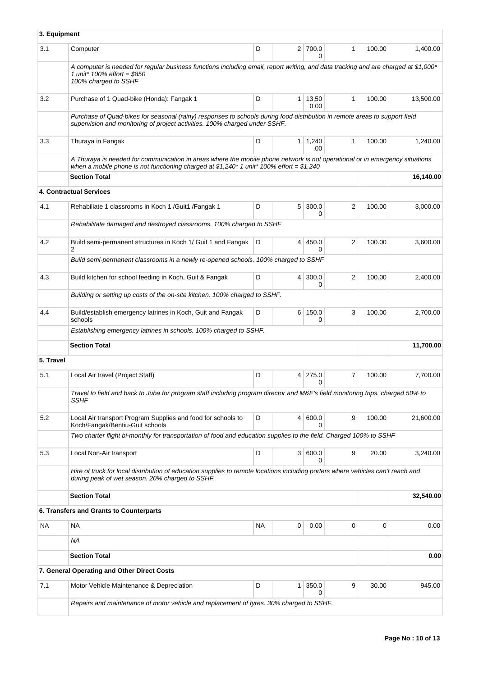|           | 3. Equipment                                                                                                                                                                                                            |    |                |               |                |        |           |
|-----------|-------------------------------------------------------------------------------------------------------------------------------------------------------------------------------------------------------------------------|----|----------------|---------------|----------------|--------|-----------|
| 3.1       | Computer                                                                                                                                                                                                                | D  |                | 2 700.0<br>0  | $\mathbf{1}$   | 100.00 | 1,400.00  |
|           | A computer is needed for regular business functions including email, report writing, and data tracking and are charged at \$1,000*<br>1 unit* $100\%$ effort = \$850<br>100% charged to SSHF                            |    |                |               |                |        |           |
| 3.2       | Purchase of 1 Quad-bike (Honda): Fangak 1                                                                                                                                                                               | D  | $\mathbf{1}$   | 13,50<br>0.00 | 1              | 100.00 | 13,500.00 |
|           | Purchase of Quad-bikes for seasonal (rainy) responses to schools during food distribution in remote areas to support field<br>supervision and monitoring of project activities. 100% charged under SSHF.                |    |                |               |                |        |           |
| 3.3       | Thuraya in Fangak                                                                                                                                                                                                       | D  | 1 <sup>1</sup> | 1,240<br>.00  | 1              | 100.00 | 1,240.00  |
|           | A Thuraya is needed for communication in areas where the mobile phone network is not operational or in emergency situations<br>when a mobile phone is not functioning charged at \$1,240* 1 unit* 100% effort = \$1,240 |    |                |               |                |        |           |
|           | <b>Section Total</b>                                                                                                                                                                                                    |    |                |               |                |        | 16,140.00 |
|           | 4. Contractual Services                                                                                                                                                                                                 |    |                |               |                |        |           |
| 4.1       | Rehabiliate 1 classrooms in Koch 1 /Guit1 /Fangak 1                                                                                                                                                                     | D  | 5 <sup>1</sup> | 300.0<br>0    | 2              | 100.00 | 3,000.00  |
|           | Rehabilitate damaged and destroyed classrooms. 100% charged to SSHF                                                                                                                                                     |    |                |               |                |        |           |
| 4.2       | Build semi-permanent structures in Koch 1/ Guit 1 and Fangak<br>2                                                                                                                                                       | D  | 4              | 450.0<br>0    | $\overline{2}$ | 100.00 | 3,600.00  |
|           | Build semi-permanent classrooms in a newly re-opened schools. 100% charged to SSHF                                                                                                                                      |    |                |               |                |        |           |
| 4.3       | Build kitchen for school feeding in Koch, Guit & Fangak                                                                                                                                                                 | D  | 4              | 300.0<br>0    | 2              | 100.00 | 2,400.00  |
|           | Building or setting up costs of the on-site kitchen. 100% charged to SSHF.                                                                                                                                              |    |                |               |                |        |           |
| 4.4       | Build/establish emergency latrines in Koch, Guit and Fangak<br>schools                                                                                                                                                  | D  |                | 6 150.0<br>0  | 3              | 100.00 | 2,700.00  |
|           | Establishing emergency latrines in schools. 100% charged to SSHF.                                                                                                                                                       |    |                |               |                |        |           |
|           | <b>Section Total</b>                                                                                                                                                                                                    |    |                |               |                |        | 11,700.00 |
| 5. Travel |                                                                                                                                                                                                                         |    |                |               |                |        |           |
| 5.1       | Local Air travel (Project Staff)                                                                                                                                                                                        | D  | 4              | 275.0<br>0    | 7              | 100.00 | 7,700.00  |
|           | Travel to field and back to Juba for program staff including program director and M&E's field monitoring trips. charged 50% to<br>SSHF                                                                                  |    |                |               |                |        |           |
| 5.2       | Local Air transport Program Supplies and food for schools to<br>Koch/Fangak/Bentiu-Guit schools                                                                                                                         | D  | $\overline{4}$ | 600.0<br>0    | 9              | 100.00 | 21,600.00 |
|           | Two charter flight bi-monthly for transportation of food and education supplies to the field. Charged 100% to SSHF                                                                                                      |    |                |               |                |        |           |
| 5.3       | Local Non-Air transport                                                                                                                                                                                                 | D  | 3 <sup>1</sup> | 600.0<br>0    | 9              | 20.00  | 3,240.00  |
|           | Hire of truck for local distribution of education supplies to remote locations including porters where vehicles can't reach and<br>during peak of wet season. 20% charged to SSHF.                                      |    |                |               |                |        |           |
|           | <b>Section Total</b>                                                                                                                                                                                                    |    |                |               |                |        | 32,540.00 |
|           | 6. Transfers and Grants to Counterparts                                                                                                                                                                                 |    |                |               |                |        |           |
| NA        | NA                                                                                                                                                                                                                      | ΝA | 0              | 0.00          | 0              | 0      | 0.00      |
|           | <b>NA</b>                                                                                                                                                                                                               |    |                |               |                |        |           |
|           | <b>Section Total</b>                                                                                                                                                                                                    |    |                |               |                |        | 0.00      |
|           | 7. General Operating and Other Direct Costs                                                                                                                                                                             |    |                |               |                |        |           |
| 7.1       | Motor Vehicle Maintenance & Depreciation                                                                                                                                                                                | D  | 1              | 350.0<br>0    | 9              | 30.00  | 945.00    |
|           | Repairs and maintenance of motor vehicle and replacement of tyres. 30% charged to SSHF.                                                                                                                                 |    |                |               |                |        |           |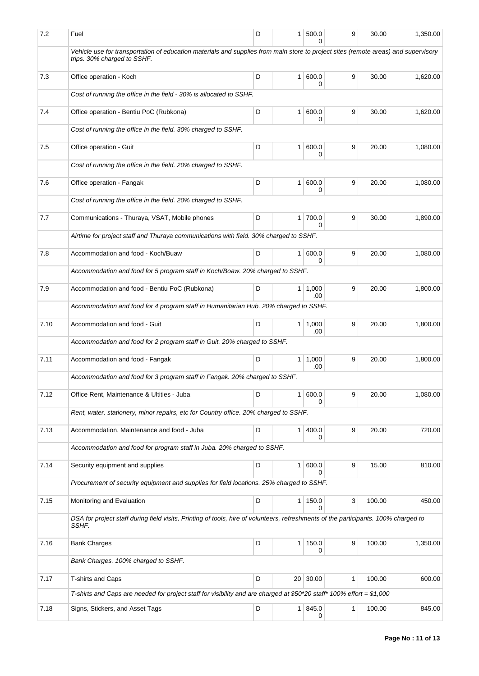| 7.2  | Fuel                                                                                                                                                              | D | 1 <sup>1</sup> | 500.0                 | 9 | 30.00  | 1,350.00 |
|------|-------------------------------------------------------------------------------------------------------------------------------------------------------------------|---|----------------|-----------------------|---|--------|----------|
|      | Vehicle use for transportation of education materials and supplies from main store to project sites (remote areas) and supervisory<br>trips. 30% charged to SSHF. |   |                |                       |   |        |          |
| 7.3  | Office operation - Koch                                                                                                                                           | D |                | 1 600.0<br>0          | 9 | 30.00  | 1,620.00 |
|      | Cost of running the office in the field - 30% is allocated to SSHF.                                                                                               |   |                |                       |   |        |          |
| 7.4  | Office operation - Bentiu PoC (Rubkona)                                                                                                                           | D |                | 1   600.0<br>0        | 9 | 30.00  | 1,620.00 |
|      | Cost of running the office in the field. 30% charged to SSHF.                                                                                                     |   |                |                       |   |        |          |
| 7.5  | Office operation - Guit                                                                                                                                           | D | 1 <sup>1</sup> | 600.0<br>0            | 9 | 20.00  | 1,080.00 |
|      | Cost of running the office in the field. 20% charged to SSHF.                                                                                                     |   |                |                       |   |        |          |
| 7.6  | Office operation - Fangak                                                                                                                                         | D | 1 <sup>1</sup> | 600.0<br>0            | 9 | 20.00  | 1,080.00 |
|      | Cost of running the office in the field. 20% charged to SSHF.                                                                                                     |   |                |                       |   |        |          |
| 7.7  | Communications - Thuraya, VSAT, Mobile phones                                                                                                                     | D |                | 1 700.0<br>0          | 9 | 30.00  | 1,890.00 |
|      | Airtime for project staff and Thuraya communications with field. 30% charged to SSHF.                                                                             |   |                |                       |   |        |          |
| 7.8  | Accommodation and food - Koch/Buaw                                                                                                                                | D |                | 1 600.0<br>0          | 9 | 20.00  | 1,080.00 |
|      | Accommodation and food for 5 program staff in Koch/Boaw. 20% charged to SSHF.                                                                                     |   |                |                       |   |        |          |
| 7.9  | Accommodation and food - Bentiu PoC (Rubkona)                                                                                                                     | D |                | $1 \mid 1,000$<br>.00 | 9 | 20.00  | 1,800.00 |
|      | Accommodation and food for 4 program staff in Humanitarian Hub. 20% charged to SSHF.                                                                              |   |                |                       |   |        |          |
| 7.10 | Accommodation and food - Guit                                                                                                                                     | D |                | $1 \mid 1,000$<br>.00 | 9 | 20.00  | 1,800.00 |
|      | Accommodation and food for 2 program staff in Guit. 20% charged to SSHF.                                                                                          |   |                |                       |   |        |          |
| 7.11 | Accommodation and food - Fangak                                                                                                                                   | D |                | 1   1,000<br>.00      | 9 | 20.00  | 1,800.00 |
|      | Accommodation and food for 3 program staff in Fangak. 20% charged to SSHF.                                                                                        |   |                |                       |   |        |          |
| 7.12 | Office Rent, Maintenance & Ultities - Juba                                                                                                                        | D |                | 1 600.0<br>0          | 9 | 20.00  | 1,080.00 |
|      | Rent, water, stationery, minor repairs, etc for Country office. 20% charged to SSHF.                                                                              |   |                |                       |   |        |          |
| 7.13 | Accommodation, Maintenance and food - Juba                                                                                                                        | D |                | 1   400.0<br>0        | 9 | 20.00  | 720.00   |
|      | Accommodation and food for program staff in Juba. 20% charged to SSHF.                                                                                            |   |                |                       |   |        |          |
| 7.14 | Security equipment and supplies                                                                                                                                   | D |                | 1 600.0               | 9 | 15.00  | 810.00   |
|      | Procurement of security equipment and supplies for field locations. 25% charged to SSHF.                                                                          |   |                |                       |   |        |          |
| 7.15 | Monitoring and Evaluation                                                                                                                                         | D |                | 1 150.0<br>0          | 3 | 100.00 | 450.00   |
|      | DSA for project staff during field visits, Printing of tools, hire of volunteers, refreshments of the participants. 100% charged to<br>SSHF.                      |   |                |                       |   |        |          |
| 7.16 | <b>Bank Charges</b>                                                                                                                                               | D | 1 <sup>1</sup> | 150.0<br>0            | 9 | 100.00 | 1,350.00 |
|      | Bank Charges. 100% charged to SSHF.                                                                                                                               |   |                |                       |   |        |          |
| 7.17 | T-shirts and Caps                                                                                                                                                 | D |                | 20 30.00              | 1 | 100.00 | 600.00   |
|      | T-shirts and Caps are needed for project staff for visibility and are charged at \$50*20 staff* 100% effort = \$1,000                                             |   |                |                       |   |        |          |
| 7.18 | Signs, Stickers, and Asset Tags                                                                                                                                   | D |                | 1   845.0<br>0        | 1 | 100.00 | 845.00   |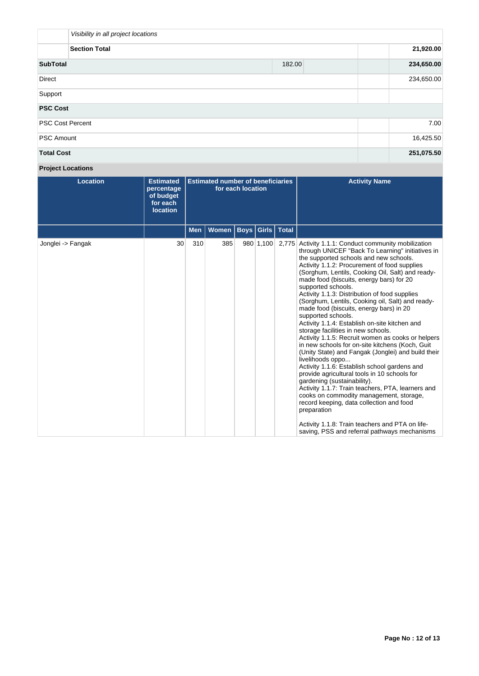| Visibility in all project locations |        |            |
|-------------------------------------|--------|------------|
| <b>Section Total</b>                |        | 21,920.00  |
| <b>SubTotal</b>                     | 182.00 | 234,650.00 |
| <b>Direct</b>                       |        | 234,650.00 |
| Support                             |        |            |
| <b>PSC Cost</b>                     |        |            |
| <b>PSC Cost Percent</b>             |        | 7.00       |
| <b>PSC Amount</b>                   |        | 16,425.50  |
| <b>Total Cost</b>                   |        | 251,075.50 |

# **Project Locations**

| <b>Location</b>   | <b>Estimated</b><br>percentage<br>of budget<br>for each<br><b>location</b> | <b>Estimated number of beneficiaries</b><br>for each location |       |  |           |                      | <b>Activity Name</b>                                                                                                                                                                                                                                                                                                                                                                                                                                                                                                                                                                                                                                                                                                                                                                                                                                                                                                                                                                                                                                                                                                                                                 |
|-------------------|----------------------------------------------------------------------------|---------------------------------------------------------------|-------|--|-----------|----------------------|----------------------------------------------------------------------------------------------------------------------------------------------------------------------------------------------------------------------------------------------------------------------------------------------------------------------------------------------------------------------------------------------------------------------------------------------------------------------------------------------------------------------------------------------------------------------------------------------------------------------------------------------------------------------------------------------------------------------------------------------------------------------------------------------------------------------------------------------------------------------------------------------------------------------------------------------------------------------------------------------------------------------------------------------------------------------------------------------------------------------------------------------------------------------|
|                   |                                                                            | Men                                                           | Women |  |           | Boys   Girls   Total |                                                                                                                                                                                                                                                                                                                                                                                                                                                                                                                                                                                                                                                                                                                                                                                                                                                                                                                                                                                                                                                                                                                                                                      |
| Jonglei -> Fangak | 30                                                                         | 310                                                           | 385   |  | 980 1,100 |                      | 2,775 Activity 1.1.1: Conduct community mobilization<br>through UNICEF "Back To Learning" initiatives in<br>the supported schools and new schools.<br>Activity 1.1.2: Procurement of food supplies<br>(Sorghum, Lentils, Cooking Oil, Salt) and ready-<br>made food (biscuits, energy bars) for 20<br>supported schools.<br>Activity 1.1.3: Distribution of food supplies<br>(Sorghum, Lentils, Cooking oil, Salt) and ready-<br>made food (biscuits, energy bars) in 20<br>supported schools.<br>Activity 1.1.4: Establish on-site kitchen and<br>storage facilities in new schools.<br>Activity 1.1.5: Recruit women as cooks or helpers<br>in new schools for on-site kitchens (Koch, Guit<br>(Unity State) and Fangak (Jonglei) and build their<br>livelihoods oppo<br>Activity 1.1.6: Establish school gardens and<br>provide agricultural tools in 10 schools for<br>gardening (sustainability).<br>Activity 1.1.7: Train teachers, PTA, learners and<br>cooks on commodity management, storage,<br>record keeping, data collection and food<br>preparation<br>Activity 1.1.8: Train teachers and PTA on life-<br>saving, PSS and referral pathways mechanisms |